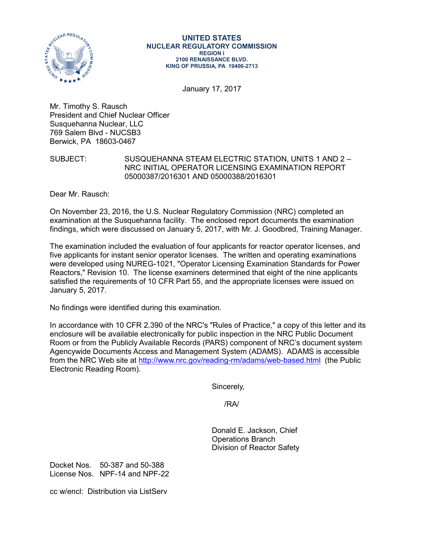

#### **UNITED STATES NUCLEAR REGULATORY COMMISSION REGION I 2100 RENAISSANCE BLVD. KING OF PRUSSIA, PA 19406-2713**

January 17, 2017

Mr. Timothy S. Rausch President and Chief Nuclear Officer Susquehanna Nuclear, LLC 769 Salem Blvd - NUCSB3 Berwick, PA 18603-0467

## SUBJECT: SUSQUEHANNA STEAM ELECTRIC STATION, UNITS 1 AND 2 – NRC INITIAL OPERATOR LICENSING EXAMINATION REPORT 05000387/2016301 AND 05000388/2016301

Dear Mr. Rausch:

On November 23, 2016, the U.S. Nuclear Regulatory Commission (NRC) completed an examination at the Susquehanna facility. The enclosed report documents the examination findings, which were discussed on January 5, 2017, with Mr. J. Goodbred, Training Manager.

The examination included the evaluation of four applicants for reactor operator licenses, and five applicants for instant senior operator licenses. The written and operating examinations were developed using NUREG-1021, "Operator Licensing Examination Standards for Power Reactors," Revision 10. The license examiners determined that eight of the nine applicants satisfied the requirements of 10 CFR Part 55, and the appropriate licenses were issued on January 5, 2017.

No findings were identified during this examination.

In accordance with 10 CFR 2.390 of the NRC's "Rules of Practice," a copy of this letter and its enclosure will be available electronically for public inspection in the NRC Public Document Room or from the Publicly Available Records (PARS) component of NRC's document system Agencywide Documents Access and Management System (ADAMS). ADAMS is accessible from the NRC Web site at<http://www.nrc.gov/reading-rm/adams/web-based.html> (the Public Electronic Reading Room).

Sincerely,

/RA/

Donald E. Jackson, Chief Operations Branch Division of Reactor Safety

Docket Nos. 50-387 and 50-388 License Nos. NPF-14 and NPF-22

cc w/encl: Distribution via ListServ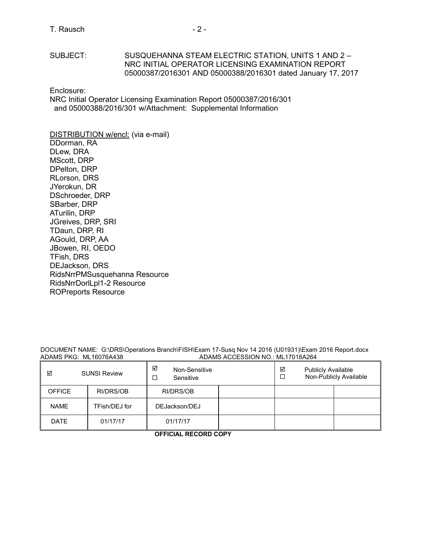## SUBJECT: SUSQUEHANNA STEAM ELECTRIC STATION, UNITS 1 AND 2 – NRC INITIAL OPERATOR LICENSING EXAMINATION REPORT 05000387/2016301 AND 05000388/2016301 dated January 17, 2017

Enclosure:

NRC Initial Operator Licensing Examination Report 05000387/2016/301 and 05000388/2016/301 w/Attachment: Supplemental Information

#### DISTRIBUTION w/encl: (via e-mail) DDorman, RA

DLew, DRA MScott, DRP DPelton, DRP RLorson, DRS JYerokun, DR DSchroeder, DRP SBarber, DRP ATurilin, DRP JGreives, DRP, SRI TDaun, DRP, RI AGould, DRP, AA JBowen, RI, OEDO TFish, DRS DEJackson, DRS RidsNrrPMSusquehanna Resource RidsNrrDorlLpl1-2 Resource ROPreports Resource

#### DOCUMENT NAME: G:\DRS\Operations Branch\FISH\Exam 17-Susq Nov 14 2016 (U01931)\Exam 2016 Report.docx<br>ADAMS ACCESSION NO.: ML17018A264 ADAMS ACCESSION NO.: ML17018A264

| ☑<br><b>SUNSI Review</b> |               | ☑<br>Non-Sensitive<br>Sensitive |  | ☑<br><b>Publicly Available</b><br>Non-Publicly Available |  |  |
|--------------------------|---------------|---------------------------------|--|----------------------------------------------------------|--|--|
| <b>OFFICE</b>            | RI/DRS/OB     | RI/DRS/OB                       |  |                                                          |  |  |
| <b>NAME</b>              | TFish/DEJ for | DEJackson/DEJ                   |  |                                                          |  |  |
| <b>DATE</b>              | 01/17/17      | 01/17/17                        |  |                                                          |  |  |

**OFFICIAL RECORD COPY**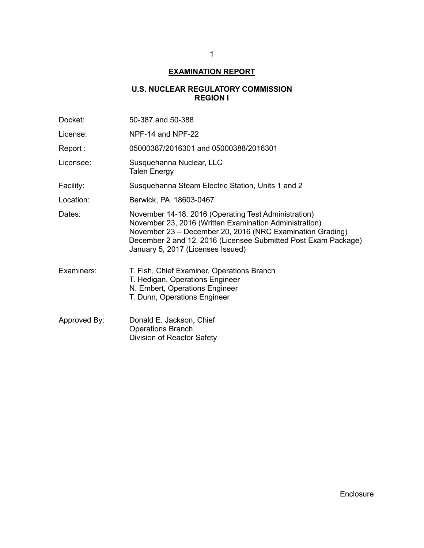# **EXAMINATION REPORT**

# **U.S. NUCLEAR REGULATORY COMMISSION REGION I**

| Docket:      | 50-387 and 50-388                                                                                                                                                                                                                                                                  |  |  |
|--------------|------------------------------------------------------------------------------------------------------------------------------------------------------------------------------------------------------------------------------------------------------------------------------------|--|--|
| License:     | NPF-14 and NPF-22                                                                                                                                                                                                                                                                  |  |  |
| Report :     | 05000387/2016301 and 05000388/2016301                                                                                                                                                                                                                                              |  |  |
| Licensee:    | Susquehanna Nuclear, LLC<br><b>Talen Energy</b>                                                                                                                                                                                                                                    |  |  |
| Facility:    | Susquehanna Steam Electric Station, Units 1 and 2                                                                                                                                                                                                                                  |  |  |
| Location:    | Berwick, PA 18603-0467                                                                                                                                                                                                                                                             |  |  |
| Dates:       | November 14-18, 2016 (Operating Test Administration)<br>November 23, 2016 (Written Examination Administration)<br>November 23 – December 20, 2016 (NRC Examination Grading)<br>December 2 and 12, 2016 (Licensee Submitted Post Exam Package)<br>January 5, 2017 (Licenses Issued) |  |  |
| Examiners:   | T. Fish, Chief Examiner, Operations Branch<br>T. Hedigan, Operations Engineer<br>N. Embert, Operations Engineer<br>T. Dunn, Operations Engineer                                                                                                                                    |  |  |
| Approved By: | Donald E. Jackson, Chief<br><b>Operations Branch</b><br>Division of Reactor Safety                                                                                                                                                                                                 |  |  |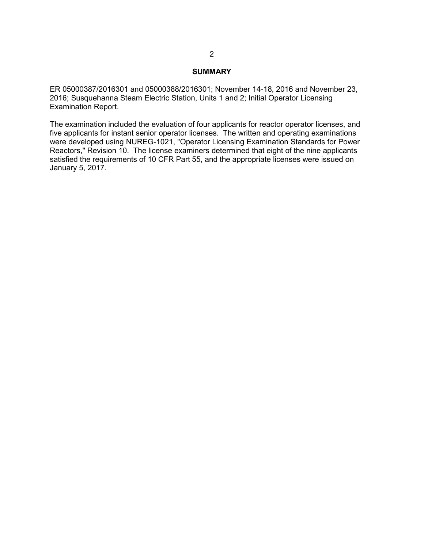#### **SUMMARY**

ER 05000387/2016301 and 05000388/2016301; November 14-18, 2016 and November 23, 2016; Susquehanna Steam Electric Station, Units 1 and 2; Initial Operator Licensing Examination Report.

The examination included the evaluation of four applicants for reactor operator licenses, and five applicants for instant senior operator licenses. The written and operating examinations were developed using NUREG-1021, "Operator Licensing Examination Standards for Power Reactors," Revision 10. The license examiners determined that eight of the nine applicants satisfied the requirements of 10 CFR Part 55, and the appropriate licenses were issued on January 5, 2017.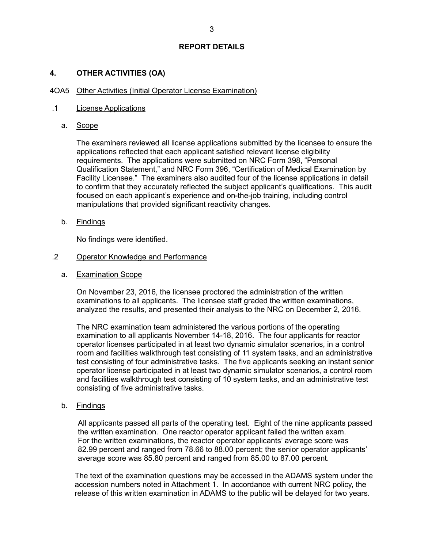## **4. OTHER ACTIVITIES (OA)**

#### 4OA5 Other Activities (Initial Operator License Examination)

#### .1 License Applications

a. Scope

The examiners reviewed all license applications submitted by the licensee to ensure the applications reflected that each applicant satisfied relevant license eligibility requirements. The applications were submitted on NRC Form 398, "Personal Qualification Statement," and NRC Form 396, "Certification of Medical Examination by Facility Licensee." The examiners also audited four of the license applications in detail to confirm that they accurately reflected the subject applicant's qualifications. This audit focused on each applicant's experience and on-the-job training, including control manipulations that provided significant reactivity changes.

b. Findings

No findings were identified.

#### .2 Operator Knowledge and Performance

a. Examination Scope

On November 23, 2016, the licensee proctored the administration of the written examinations to all applicants. The licensee staff graded the written examinations, analyzed the results, and presented their analysis to the NRC on December 2, 2016.

The NRC examination team administered the various portions of the operating examination to all applicants November 14-18, 2016. The four applicants for reactor operator licenses participated in at least two dynamic simulator scenarios, in a control room and facilities walkthrough test consisting of 11 system tasks, and an administrative test consisting of four administrative tasks. The five applicants seeking an instant senior operator license participated in at least two dynamic simulator scenarios, a control room and facilities walkthrough test consisting of 10 system tasks, and an administrative test consisting of five administrative tasks.

b. Findings

All applicants passed all parts of the operating test. Eight of the nine applicants passed the written examination. One reactor operator applicant failed the written exam. For the written examinations, the reactor operator applicants' average score was 82.99 percent and ranged from 78.66 to 88.00 percent; the senior operator applicants' average score was 85.80 percent and ranged from 85.00 to 87.00 percent.

The text of the examination questions may be accessed in the ADAMS system under the accession numbers noted in Attachment 1. In accordance with current NRC policy, the release of this written examination in ADAMS to the public will be delayed for two years.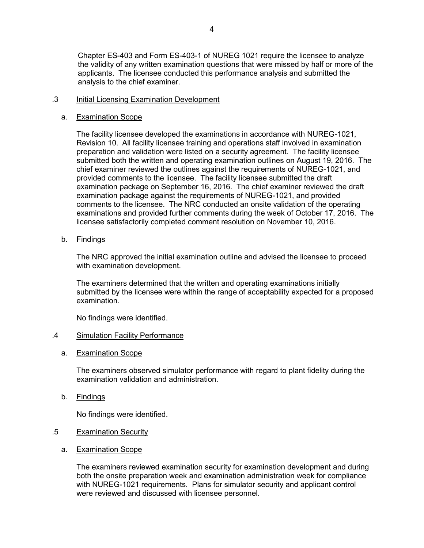## .3 Initial Licensing Examination Development

analysis to the chief examiner.

### a. Examination Scope

The facility licensee developed the examinations in accordance with NUREG-1021, Revision 10. All facility licensee training and operations staff involved in examination preparation and validation were listed on a security agreement. The facility licensee submitted both the written and operating examination outlines on August 19, 2016. The chief examiner reviewed the outlines against the requirements of NUREG-1021, and provided comments to the licensee. The facility licensee submitted the draft examination package on September 16, 2016. The chief examiner reviewed the draft examination package against the requirements of NUREG-1021, and provided comments to the licensee. The NRC conducted an onsite validation of the operating examinations and provided further comments during the week of October 17, 2016. The licensee satisfactorily completed comment resolution on November 10, 2016.

b. Findings

The NRC approved the initial examination outline and advised the licensee to proceed with examination development.

The examiners determined that the written and operating examinations initially submitted by the licensee were within the range of acceptability expected for a proposed examination.

No findings were identified.

### .4 Simulation Facility Performance

### a. Examination Scope

The examiners observed simulator performance with regard to plant fidelity during the examination validation and administration.

b. Findings

No findings were identified.

### .5 Examination Security

a. Examination Scope

The examiners reviewed examination security for examination development and during both the onsite preparation week and examination administration week for compliance with NUREG-1021 requirements. Plans for simulator security and applicant control were reviewed and discussed with licensee personnel.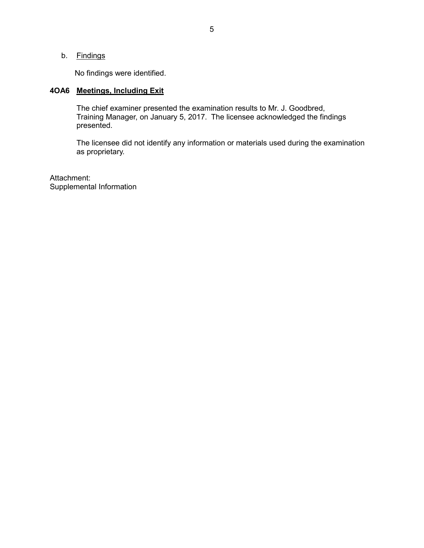b. Findings

No findings were identified.

# **4OA6 Meetings, Including Exit**

The chief examiner presented the examination results to Mr. J. Goodbred, Training Manager, on January 5, 2017. The licensee acknowledged the findings presented.

The licensee did not identify any information or materials used during the examination as proprietary.

Attachment: Supplemental Information